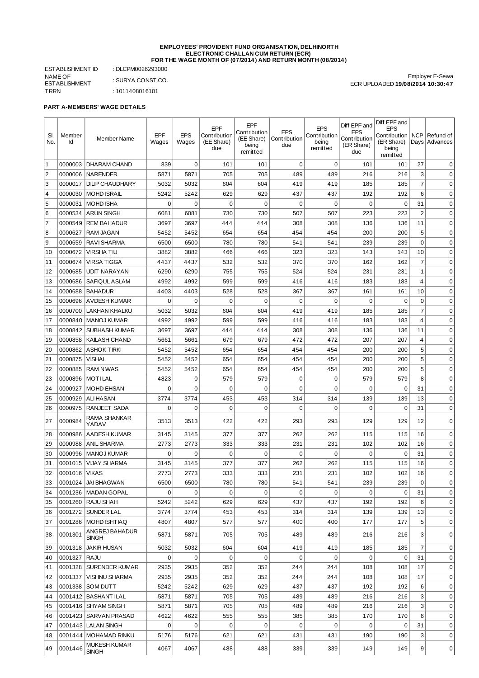#### **EMPLOYEES' PROVIDENT FUND ORGANISATION, DELHINORTH ELECTRONIC CHALLAN CUM RETURN (ECR) FOR THE WAGE MONTH OF (07/2014) AND RETURN MONTH (08/2014)**

ESTABLISHMENT ID : DLCPM0026293000 NAME OF ESTABLISHMENT : SURYA CONST.CO. TRRN : 1011408016101

Employer E-Sewa ECR UPLOADED **19/08/2014 10:30:47**

# **PART A-MEMBERS' WAGE DETAILS**

| SI.<br>No. | Member<br>Id | <b>Member Name</b>             | EPF<br>Wages | <b>EPS</b><br>Wages | EPF<br>Contribution<br>(EE Share)<br>due | EPF<br>Contribution<br>(EE Share)<br>being<br>remitted | <b>EPS</b><br>Contribution<br>due | <b>EPS</b><br>Contribution<br>being<br>remitted | Diff EPF and<br><b>EPS</b><br>Contribution<br>(ER Share)<br>due | Diff EPF and<br><b>EPS</b><br>Contribution<br>(ER Share)<br>being<br>remitted | <b>NCP</b>     | Refund of<br>Days Advances |
|------------|--------------|--------------------------------|--------------|---------------------|------------------------------------------|--------------------------------------------------------|-----------------------------------|-------------------------------------------------|-----------------------------------------------------------------|-------------------------------------------------------------------------------|----------------|----------------------------|
| 1          | 0000003      | <b>DHARAM CHAND</b>            | 839          | $\mathbf 0$         | 101                                      | 101                                                    | $\mathbf 0$                       | $\mathbf 0$                                     | 101                                                             | 101                                                                           | 27             | $\Omega$                   |
| 2          | 0000006      | <b>NARENDER</b>                | 5871         | 5871                | 705                                      | 705                                                    | 489                               | 489                                             | 216                                                             | 216                                                                           | 3              | 0                          |
| 3          | 0000017      | <b>DILIP CHAUDHARY</b>         | 5032         | 5032                | 604                                      | 604                                                    | 419                               | 419                                             | 185                                                             | 185                                                                           | $\overline{7}$ | $\mathbf 0$                |
| $\vert$ 4  | 0000030      | MOHD ISRAIL                    | 5242         | 5242                | 629                                      | 629                                                    | 437                               | 437                                             | 192                                                             | 192                                                                           | 6              | $\mathbf 0$                |
| 5          | 0000031      | MOHD ISHA                      | 0            | 0                   | $\mathbf 0$                              | 0                                                      | 0                                 | 0                                               | 0                                                               | 0                                                                             | 31             | $\mathbf 0$                |
| 6          | 0000534      | <b>ARUN SINGH</b>              | 6081         | 6081                | 730                                      | 730                                                    | 507                               | 507                                             | 223                                                             | 223                                                                           | $\overline{2}$ | 0                          |
| 7          | 0000549      | <b>REM BAHADUR</b>             | 3697         | 3697                | 444                                      | 444                                                    | 308                               | 308                                             | 136                                                             | 136                                                                           | 11             | 0                          |
| 8          | 0000627      | <b>RAM JAGAN</b>               | 5452         | 5452                | 654                                      | 654                                                    | 454                               | 454                                             | 200                                                             | 200                                                                           | 5              | 0                          |
| 9          | 0000659      | <b>RAVI SHARMA</b>             | 6500         | 6500                | 780                                      | 780                                                    | 541                               | 541                                             | 239                                                             | 239                                                                           | $\mathbf 0$    | $\mathbf 0$                |
| 10         | 0000672      | <b>VIRSHATIU</b>               | 3882         | 3882                | 466                                      | 466                                                    | 323                               | 323                                             | 143                                                             | 143                                                                           | 10             | $\mathbf 0$                |
| 11         | 0000674      | VIRSA TIGGA                    | 4437         | 4437                | 532                                      | 532                                                    | 370                               | 370                                             | 162                                                             | 162                                                                           | $\overline{7}$ | $\mathbf 0$                |
| 12         | 0000685      | <b>UDIT NARAYAN</b>            | 6290         | 6290                | 755                                      | 755                                                    | 524                               | 524                                             | 231                                                             | 231                                                                           | $\mathbf{1}$   | $\mathbf 0$                |
| 13         | 0000686      | SAFIQUL ASLAM                  | 4992         | 4992                | 599                                      | 599                                                    | 416                               | 416                                             | 183                                                             | 183                                                                           | $\overline{4}$ | $\mathbf 0$                |
| 14         | 0000688      | <b>BAHADUR</b>                 | 4403         | 4403                | 528                                      | 528                                                    | 367                               | 367                                             | 161                                                             | 161                                                                           | 10             | $\mathbf 0$                |
| 15         | 0000696      | <b>AVDESH KUMAR</b>            | 0            | $\mathbf 0$         | $\mathbf 0$                              | $\mathbf 0$                                            | 0                                 | $\mathbf 0$                                     | $\mathbf 0$                                                     | $\mathbf 0$                                                                   | $\mathbf 0$    | $\mathbf 0$                |
| 16         | 0000700      | <b>LAKHAN KHALKU</b>           | 5032         | 5032                | 604                                      | 604                                                    | 419                               | 419                                             | 185                                                             | 185                                                                           | $\overline{7}$ | $\mathbf 0$                |
| 17         | 0000840      | <b>MANOJ KUMAR</b>             | 4992         | 4992                | 599                                      | 599                                                    | 416                               | 416                                             | 183                                                             | 183                                                                           | $\overline{4}$ | $\mathbf 0$                |
| 18         | 0000842      | <b>SUBHASH KUMAR</b>           | 3697         | 3697                | 444                                      | 444                                                    | 308                               | 308                                             | 136                                                             | 136                                                                           | 11             | $\mathbf 0$                |
| 19         | 0000858      | <b>KAILASH CHAND</b>           | 5661         | 5661                | 679                                      | 679                                                    | 472                               | 472                                             | 207                                                             | 207                                                                           | 4              | $\mathbf 0$                |
| 20         | 0000862      | <b>ASHOK TIRKI</b>             | 5452         | 5452                | 654                                      | 654                                                    | 454                               | 454                                             | 200                                                             | 200                                                                           | 5              | $\mathbf 0$                |
| 21         | 0000875      | VISHAL                         | 5452         | 5452                | 654                                      | 654                                                    | 454                               | 454                                             | 200                                                             | 200                                                                           | 5              | $\mathbf 0$                |
| 22         | 0000885      | <b>RAM NIWAS</b>               | 5452         | 5452                | 654                                      | 654                                                    | 454                               | 454                                             | 200                                                             | 200                                                                           | 5              | $\mathbf 0$                |
| 23         | 0000896      | <b>MOTILAL</b>                 | 4823         | 0                   | 579                                      | 579                                                    | 0                                 | $\mathbf 0$                                     | 579                                                             | 579                                                                           | 8              | 0                          |
| 24         | 0000927      | <b>MOHD EHSAN</b>              | $\mathbf 0$  | $\mathbf 0$         | $\mathbf 0$                              | 0                                                      | 0                                 | $\mathbf 0$                                     | 0                                                               | 0                                                                             | 31             | 0                          |
| 25         | 0000929      | <b>ALI HASAN</b>               | 3774         | 3774                | 453                                      | 453                                                    | 314                               | 314                                             | 139                                                             | 139                                                                           | 13             | $\mathbf 0$                |
| 26         | 0000975      | <b>RANJEET SADA</b>            | 0            | $\mathbf 0$         | $\mathbf 0$                              | $\mathbf 0$                                            | 0                                 | $\mathbf 0$                                     | 0                                                               | 0                                                                             | 31             | $\mathbf 0$                |
| 27         | 0000984      | RAMA SHANKAR<br>YADAV          | 3513         | 3513                | 422                                      | 422                                                    | 293                               | 293                                             | 129                                                             | 129                                                                           | 12             | $\mathbf 0$                |
| 28         | 0000986      | <b>AADESH KUMAR</b>            | 3145         | 3145                | 377                                      | 377                                                    | 262                               | 262                                             | 115                                                             | 115                                                                           | 16             | 0                          |
| 29         | 0000988      | <b>ANIL SHARMA</b>             | 2773         | 2773                | 333                                      | 333                                                    | 231                               | 231                                             | 102                                                             | 102                                                                           | 16             | 0                          |
| 30         | 0000996      | MANOJ KUMAR                    | $\mathbf 0$  | 0                   | $\mathbf 0$                              | 0                                                      | 0                                 | 0                                               | 0                                                               | 0                                                                             | 31             | 0                          |
| 31         | 0001015      | <b>VIJAY SHARMA</b>            | 3145         | 3145                | 377                                      | 377                                                    | 262                               | 262                                             | 115                                                             | 115                                                                           | 16             | $\mathbf 0$                |
| 32         | 0001016      | <b>VIKAS</b>                   | 2773         | 2773                | 333                                      | 333                                                    | 231                               | 231                                             | 102                                                             | 102                                                                           | 16             | $\mathbf 0$                |
| 33         |              | 0001024 JAIBHAGWAN             | 6500         | 6500                | 780                                      | 780                                                    | 541                               | 541                                             | 239                                                             | 239                                                                           | 0              | 0                          |
| 34         |              | 0001236   MADAN GOPAL          | $\Omega$     | $\mathbf 0$         | $\mathbf 0$                              | $\Omega$                                               | 0                                 | $\mathbf 0$                                     | 0                                                               | $\mathbf 0$                                                                   | 31             | $\mathbf 0$                |
| 35         |              | 0001260 RAJU SHAH              | 5242         | 5242                | 629                                      | 629                                                    | 437                               | 437                                             | 192                                                             | 192                                                                           | 6              | $\mathbf 0$                |
| 36         | 0001272      | SUNDER LAL                     | 3774         | 3774                | 453                                      | 453                                                    | 314                               | 314                                             | 139                                                             | 139                                                                           | 13             | $\mathbf 0$                |
| 37         |              | 0001286 MOHD ISHTIAO           | 4807         | 4807                | 577                                      | 577                                                    | 400                               | 400                                             | 177                                                             | 177                                                                           | 5              | $\mathbf 0$                |
| 38         | 0001301      | ANGREJ BAHADUR<br><b>SINGH</b> | 5871         | 5871                | 705                                      | 705                                                    | 489                               | 489                                             | 216                                                             | 216                                                                           | 3              | 0                          |
| 39         | 0001318      | <b>JAKIR HUSAN</b>             | 5032         | 5032                | 604                                      | 604                                                    | 419                               | 419                                             | 185                                                             | 185                                                                           | $\overline{7}$ | 0                          |
| 40         | 0001327      | RAJU                           | 0            | 0                   | 0                                        | 0                                                      | 0                                 | 0                                               | 0                                                               | 0                                                                             | 31             | 0                          |
| 41         | 0001328      | <b>SURENDER KUMAR</b>          | 2935         | 2935                | 352                                      | 352                                                    | 244                               | 244                                             | 108                                                             | 108                                                                           | 17             | 0                          |
| 42         | 0001337      | <b>VISHNU SHARMA</b>           | 2935         | 2935                | 352                                      | 352                                                    | 244                               | 244                                             | 108                                                             | 108                                                                           | 17             | 0                          |
| 43         | 0001338      | <b>SOM DUTT</b>                | 5242         | 5242                | 629                                      | 629                                                    | 437                               | 437                                             | 192                                                             | 192                                                                           | 6              | 0                          |
| 44         |              | 0001412 BASHANTILAL            | 5871         | 5871                | 705                                      | 705                                                    | 489                               | 489                                             | 216                                                             | 216                                                                           | 3              | 0                          |
| 45         |              | 0001416 SHYAM SINGH            | 5871         | 5871                | 705                                      | 705                                                    | 489                               | 489                                             | 216                                                             | 216                                                                           | 3              | 0                          |
| 46         |              | 0001423 SARVAN PRASAD          | 4622         | 4622                | 555                                      | 555                                                    | 385                               | 385                                             | 170                                                             | 170                                                                           | 6              | 0                          |
| 47         |              | 0001443   LALAN SINGH          | 0            | 0                   | $\mathbf 0$                              | 0                                                      | 0                                 | $\mathbf 0$                                     | 0                                                               | 0                                                                             | 31             | $\mathbf 0$                |
| 48         |              | 0001444 MOHAMAD RINKU          | 5176         | 5176                | 621                                      | 621                                                    | 431                               | 431                                             | 190                                                             | 190                                                                           | 3              | $\mathbf 0$                |
| 49         | 0001446      | MUKESH KUMAR<br><b>SINGH</b>   | 4067         | 4067                | 488                                      | 488                                                    | 339                               | 339                                             | 149                                                             | 149                                                                           | 9              | 0                          |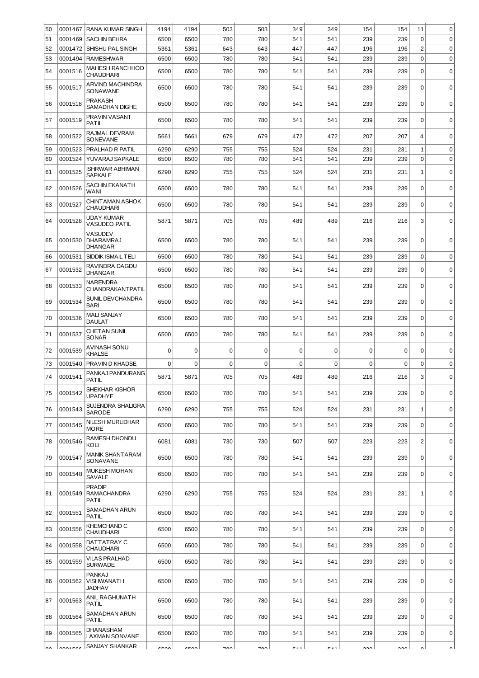| 50   | 0001467 | IRANA KUMAR SINGH                                    | 4194        | 4194        | 503         | 503   | 349         | 349         | 154         | 154         | 11             | $\mathbf 0$ |
|------|---------|------------------------------------------------------|-------------|-------------|-------------|-------|-------------|-------------|-------------|-------------|----------------|-------------|
| 51   | 0001469 | <b>SACHIN BEHRA</b>                                  | 6500        | 6500        | 780         | 780   | 541         | 541         | 239         | 239         | $\mathbf 0$    | $\mathbf 0$ |
| 52   | 0001472 | I SHISHU PAL SINGH                                   | 5361        | 5361        | 643         | 643   | 447         | 447         | 196         | 196         | $\overline{c}$ | $\mathbf 0$ |
| 53   | 0001494 | <b>RAMESHWAR</b>                                     | 6500        | 6500        | 780         | 780   | 541         | 541         | 239         | 239         | 0              | $\mathbf 0$ |
| 54   | 0001516 | <b>MAHESH RANCHHOD</b><br><b>CHAUDHARI</b>           | 6500        | 6500        | 780         | 780   | 541         | 541         | 239         | 239         | $\mathbf 0$    | $\mathbf 0$ |
| 55   | 0001517 | <b>ARVIND MACHINDRA</b><br>SONAWANE                  | 6500        | 6500        | 780         | 780   | 541         | 541         | 239         | 239         | 0              | 0           |
| 56   | 0001518 | <b>PRAKASH</b><br>SAMADHAN DIGHE                     | 6500        | 6500        | 780         | 780   | 541         | 541         | 239         | 239         | $\mathbf 0$    | $\mathbf 0$ |
| 57   | 0001519 | PRAVIN VASANT<br><b>PATIL</b>                        | 6500        | 6500        | 780         | 780   | 541         | 541         | 239         | 239         | $\Omega$       | $\mathbf 0$ |
| 58   | 0001522 | RAJMAL DEVRAM<br>SONEVANE                            | 5661        | 5661        | 679         | 679   | 472         | 472         | 207         | 207         | $\overline{4}$ | $\mathbf 0$ |
| 59   | 0001523 | PRALHAD R PATIL                                      | 6290        | 6290        | 755         | 755   | 524         | 524         | 231         | 231         | 1              | $\mathbf 0$ |
| 60   | 0001524 | YUVARAJ SAPKALE                                      | 6500        | 6500        | 780         | 780   | 541         | 541         | 239         | 239         | $\mathbf 0$    | $\mathbf 0$ |
| 61   | 0001525 | <b>ISHRWAR ABHIMAN</b><br><b>SAPKALE</b>             | 6290        | 6290        | 755         | 755   | 524         | 524         | 231         | 231         | 1              | $\mathbf 0$ |
| 62   | 0001526 | SACHIN EKANATH<br><b>WANI</b>                        | 6500        | 6500        | 780         | 780   | 541         | 541         | 239         | 239         | 0              | $\mathbf 0$ |
| 63   | 0001527 | CHINT AMAN ASHOK<br><b>CHAUDHARI</b>                 | 6500        | 6500        | 780         | 780   | 541         | 541         | 239         | 239         | $\mathbf 0$    | $\mathbf 0$ |
| 64   | 0001528 | <b>UDAY KUMAR</b><br><b>VASUDEO PATIL</b>            | 5871        | 5871        | 705         | 705   | 489         | 489         | 216         | 216         | 3              | $\mathbf 0$ |
| 65   | 0001530 | <b>VASUDEV</b><br><b>DHARAMRAJ</b><br><b>DHANGAR</b> | 6500        | 6500        | 780         | 780   | 541         | 541         | 239         | 239         | 0              | $\mathbf 0$ |
| 66   | 0001531 | SIDDIK ISMAIL TELI                                   | 6500        | 6500        | 780         | 780   | 541         | 541         | 239         | 239         | $\mathbf 0$    | $\mathbf 0$ |
| 67   | 0001532 | RAVINDRA DAGDU<br><b>DHANGAR</b>                     | 6500        | 6500        | 780         | 780   | 541         | 541         | 239         | 239         | $\mathbf 0$    | $\mathbf 0$ |
| 68   | 0001533 | <b>NARENDRA</b><br><b>CHANDRAKANTPATIL</b>           | 6500        | 6500        | 780         | 780   | 541         | 541         | 239         | 239         | 0              | $\mathbf 0$ |
| 69   | 0001534 | SUNIL DEVCHANDRA<br><b>BARI</b>                      | 6500        | 6500        | 780         | 780   | 541         | 541         | 239         | 239         | $\mathbf 0$    | $\mathbf 0$ |
| 70   | 0001536 | <b>MALI SANJAY</b><br><b>DAULAT</b>                  | 6500        | 6500        | 780         | 780   | 541         | 541         | 239         | 239         | $\mathbf 0$    | $\mathbf 0$ |
| 71   | 0001537 | <b>CHETAN SUNIL</b><br><b>SONAR</b>                  | 6500        | 6500        | 780         | 780   | 541         | 541         | 239         | 239         | $\mathbf 0$    | $\mathbf 0$ |
| 72   | 0001539 | AVINASH SONU<br><b>KHALSE</b>                        | 0           | $\mathbf 0$ | $\mathbf 0$ | 0     | $\mathbf 0$ | 0           | $\mathbf 0$ | 0           | $\Omega$       | $\mathbf 0$ |
| 73   | 0001540 | PRAVIN D KHADSE                                      | 0           | $\mathbf 0$ | $\mathbf 0$ | 0     | $\mathbf 0$ | $\mathbf 0$ | 0           | $\mathbf 0$ | 0              | $\mathbf 0$ |
| 74   | 0001541 | PANKAJ PANDURANG<br><b>PATIL</b>                     | 5871        | 5871        | 705         | 705   | 489         | 489         | 216         | 216         | 3              | $\mathbf 0$ |
| 75   | 0001542 | SHEKHAR KISHOR<br><b>UPADHYE</b>                     | 6500        | 6500        | 780         | 780   | 541         | 541         | 239         | 239         | $\mathbf 0$    | $\mathbf 0$ |
| 76   | 0001543 | <b>SUJENDRA SHALIGRA</b><br><b>SARODE</b>            | 6290        | 6290        | 755         | 755   | 524         | 524         | 231         | 231         | 1              | $\mathbf 0$ |
| 77   | 0001545 | NILESH MURLIDHAR<br><b>MORE</b>                      | 6500        | 6500        | 780         | 780   | 541         | 541         | 239         | 239         | $\Omega$       | $\mathbf 0$ |
| 78   | 0001546 | RAMESH DHONDU<br>KOLI                                | 6081        | 6081        | 730         | 730   | 507         | 507         | 223         | 223         | $\overline{c}$ | $\mathbf 0$ |
| 79   | 0001547 | <b>MANIK SHANTARAM</b><br>SONAVANE                   | 6500        | 6500        | 780         | 780   | 541         | 541         | 239         | 239         | $\mathbf 0$    | $\mathbf 0$ |
| 80   | 0001548 | MUKESH MOHAN<br>SAVALE                               | 6500        | 6500        | 780         | 780   | 541         | 541         | 239         | 239         | 0              | 0           |
| 81   | 0001549 | <b>PRADIP</b><br>RAMACHANDRA<br><b>PATIL</b>         | 6290        | 6290        | 755         | 755   | 524         | 524         | 231         | 231         | 1              | $\mathbf 0$ |
| 82   | 0001551 | SAMADHAN ARUN<br><b>PATIL</b>                        | 6500        | 6500        | 780         | 780   | 541         | 541         | 239         | 239         | $\mathbf 0$    | 0           |
| 83   | 0001556 | KHEMCHAND C<br><b>CHAUDHARI</b>                      | 6500        | 6500        | 780         | 780   | 541         | 541         | 239         | 239         | $\Omega$       | $\pmb{0}$   |
| 84   | 0001558 | DATTATRAY C<br><b>CHAUDHARI</b>                      | 6500        | 6500        | 780         | 780   | 541         | 541         | 239         | 239         | $\mathbf 0$    | $\mathbf 0$ |
| 85   | 0001559 | <b>VILAS PRALHAD</b><br><b>SURWADE</b>               | 6500        | 6500        | 780         | 780   | 541         | 541         | 239         | 239         | $\mathbf 0$    | $\mathbf 0$ |
| 86   | 0001562 | <b>PANKAJ</b><br>VISHWANATH<br><b>JADHAV</b>         | 6500        | 6500        | 780         | 780   | 541         | 541         | 239         | 239         | $\mathbf 0$    | $\mathbf 0$ |
| 87   | 0001563 | ANIL RAGHUNATH<br><b>PATIL</b>                       | 6500        | 6500        | 780         | 780   | 541         | 541         | 239         | 239         | $\mathbf 0$    | $\mathbf 0$ |
| 88   | 0001564 | SAMADHAN ARUN<br><b>PATIL</b>                        | 6500        | 6500        | 780         | 780   | 541         | 541         | 239         | 239         | $\mathbf 0$    | $\pmb{0}$   |
| 89   | 0001565 | DHANASHAM<br>LAXMAN SONVANE                          | 6500        | 6500        | 780         | 780   | 541         | 541         | 239         | 239         | 0              | $\mathbf 0$ |
| ا مہ | 0001566 | SANJAY SHANKAR                                       | <b>GENN</b> | ecool       | 700         | zon l | $E$ $A$ 1   | $E$ A 1     | non l       | ∣ חפפ       | ΩI             | $\sim$      |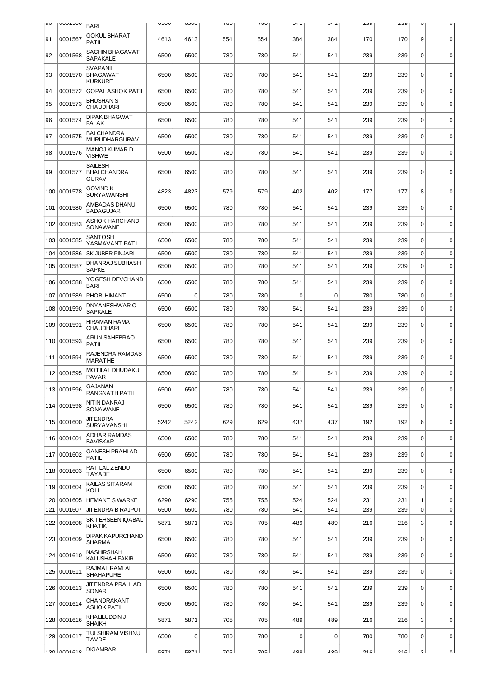| ∣ ຯ∪ | <b>UUULJOO</b> | <b>BARI</b>                                          | <b>UUCO</b> | UUCO | 100 | 10U | 1+C | 1+C         | ∠ວນ | ∠ວນ | U            | U           |
|------|----------------|------------------------------------------------------|-------------|------|-----|-----|-----|-------------|-----|-----|--------------|-------------|
| 91   | 0001567        | <b>GOKUL BHARAT</b><br><b>PATIL</b>                  | 4613        | 4613 | 554 | 554 | 384 | 384         | 170 | 170 | 9            | $\mathbf 0$ |
| 92   | 0001568        | <b>SACHIN BHAGAVAT</b><br><b>SAPAKALE</b>            | 6500        | 6500 | 780 | 780 | 541 | 541         | 239 | 239 | $\Omega$     | $\Omega$    |
| 93   | 0001570        | <b>SVAPANIL</b><br><b>BHAGAWAT</b><br><b>KURKURE</b> | 6500        | 6500 | 780 | 780 | 541 | 541         | 239 | 239 | $\mathbf 0$  | $\mathbf 0$ |
| 94   | 0001572        | <b>GOPAL ASHOK PATIL</b>                             | 6500        | 6500 | 780 | 780 | 541 | 541         | 239 | 239 | $\mathbf 0$  | $\mathbf 0$ |
| 95   | 0001573        | <b>BHUSHAN S</b><br><b>CHAUDHARI</b>                 | 6500        | 6500 | 780 | 780 | 541 | 541         | 239 | 239 | $\mathbf 0$  | $\mathbf 0$ |
| 96   | 0001574        | <b>DIPAK BHAGWAT</b><br><b>FALAK</b>                 | 6500        | 6500 | 780 | 780 | 541 | 541         | 239 | 239 | $\mathbf 0$  | $\mathbf 0$ |
| 97   | 0001575        | <b>BALCHANDRA</b><br><b>MURLIDHARGURAV</b>           | 6500        | 6500 | 780 | 780 | 541 | 541         | 239 | 239 | $\mathbf 0$  | $\mathbf 0$ |
| 98   | 0001576        | MANOJ KUMAR D<br><b>VISHWE</b>                       | 6500        | 6500 | 780 | 780 | 541 | 541         | 239 | 239 | $\Omega$     | $\mathbf 0$ |
| 99   | 0001577        | <b>SAILESH</b><br><b>BHALCHANDRA</b><br><b>GURAV</b> | 6500        | 6500 | 780 | 780 | 541 | 541         | 239 | 239 | $\Omega$     | $\mathbf 0$ |
| 100  | 0001578        | <b>GOVIND K</b><br><b>SURYAWANSHI</b>                | 4823        | 4823 | 579 | 579 | 402 | 402         | 177 | 177 | 8            | $\mathbf 0$ |
| 101  | 0001580        | AMBADAS DHANU<br><b>BADAGUJAR</b>                    | 6500        | 6500 | 780 | 780 | 541 | 541         | 239 | 239 | $\mathbf 0$  | $\mathbf 0$ |
| 102  | 0001583        | <b>ASHOK HARCHAND</b><br>SONAWANE                    | 6500        | 6500 | 780 | 780 | 541 | 541         | 239 | 239 | $\Omega$     | $\mathbf 0$ |
| 103  | 0001585        | <b>SANTOSH</b><br>YASMAVANT PATIL                    | 6500        | 6500 | 780 | 780 | 541 | 541         | 239 | 239 | $\mathbf 0$  | $\mathbf 0$ |
| 104  | 0001586        | <b>SK JUBER PINJARI</b>                              | 6500        | 6500 | 780 | 780 | 541 | 541         | 239 | 239 | $\mathbf 0$  | $\mathbf 0$ |
| 105  | 0001587        | DHANRAJ SUBHASH<br><b>SAPKE</b>                      | 6500        | 6500 | 780 | 780 | 541 | 541         | 239 | 239 | $\Omega$     | $\mathbf 0$ |
| 106  | 0001588        | YOGESH DEVCHAND<br>BARI                              | 6500        | 6500 | 780 | 780 | 541 | 541         | 239 | 239 | $\mathbf 0$  | $\mathbf 0$ |
| 107  | 0001589        | PHOBI HIMANT                                         | 6500        | 0    | 780 | 780 | 0   | $\Omega$    | 780 | 780 | $\Omega$     | $\mathbf 0$ |
| 108  | 0001590        | DNYANESHWAR C<br><b>SAPKALE</b>                      | 6500        | 6500 | 780 | 780 | 541 | 541         | 239 | 239 | $\Omega$     | $\mathbf 0$ |
| 109  | 0001591        | <b>HIRAMAN RAMA</b><br><b>CHAUDHARI</b>              | 6500        | 6500 | 780 | 780 | 541 | 541         | 239 | 239 | $\mathbf 0$  | $\mathbf 0$ |
| 110  | 0001593        | ARUN SAHEBRAO<br>PATIL                               | 6500        | 6500 | 780 | 780 | 541 | 541         | 239 | 239 | $\Omega$     | $\mathbf 0$ |
| 111  | 0001594        | RAJENDRA RAMDAS<br><b>MARATHE</b>                    | 6500        | 6500 | 780 | 780 | 541 | 541         | 239 | 239 | $\mathbf 0$  | $\mathbf 0$ |
| 112  | 0001595        | MOTILAL DHUDAKU<br><b>PAVAR</b>                      | 6500        | 6500 | 780 | 780 | 541 | 541         | 239 | 239 | 0            | $\mathbf 0$ |
| 113  | 0001596        | <b>GAJANAN</b><br>RANGNATH PATIL                     | 6500        | 6500 | 780 | 780 | 541 | 541         | 239 | 239 | 0            | 0           |
|      | 114 0001598    | NIT IN DANRAJ<br>SONAWANE                            | 6500        | 6500 | 780 | 780 | 541 | 541         | 239 | 239 | $\mathbf 0$  | $\mathbf 0$ |
| 115  | 0001600        | <b>JIT ENDRA</b><br><b>SURYAVANSHI</b>               | 5242        | 5242 | 629 | 629 | 437 | 437         | 192 | 192 | 6            | $\mathbf 0$ |
|      | 116 0001601    | ADHAR RAMDAS<br><b>BAVISKAR</b>                      | 6500        | 6500 | 780 | 780 | 541 | 541         | 239 | 239 | $\mathbf 0$  | $\mathbf 0$ |
|      | 117 0001602    | <b>GANESH PRAHLAD</b><br><b>PATIL</b>                | 6500        | 6500 | 780 | 780 | 541 | 541         | 239 | 239 | $\mathbf 0$  | $\pmb{0}$   |
| 118  | 0001603        | RATILAL ZENDU<br><b>TAYADE</b>                       | 6500        | 6500 | 780 | 780 | 541 | 541         | 239 | 239 | $\mathbf 0$  | $\mathbf 0$ |
| 119  | 0001604        | KAILAS SITARAM<br>KOLI                               | 6500        | 6500 | 780 | 780 | 541 | 541         | 239 | 239 | $\mathbf 0$  | $\mathbf 0$ |
| 120  | 0001605        | <b>HEMANT S WARKE</b>                                | 6290        | 6290 | 755 | 755 | 524 | 524         | 231 | 231 | $\mathbf{1}$ | $\mathbf 0$ |
| 121  | 0001607        | <b>JITENDRA B RAJPUT</b>                             | 6500        | 6500 | 780 | 780 | 541 | 541         | 239 | 239 | $\mathbf 0$  | $\mathbf 0$ |
|      | 122 0001608    | SK TEHSEEN IQABAL<br>KHATIK                          | 5871        | 5871 | 705 | 705 | 489 | 489         | 216 | 216 | 3            | $\mathbf 0$ |
| 123  | 0001609        | <b>DIPAK KAPURCHAND</b><br><b>SHARMA</b>             | 6500        | 6500 | 780 | 780 | 541 | 541         | 239 | 239 | $\Omega$     | $\mathbf 0$ |
| 124  | 0001610        | NASHIRSHAH<br>KALUSHAH FAKIR                         | 6500        | 6500 | 780 | 780 | 541 | 541         | 239 | 239 | $\mathbf 0$  | $\mathbf 0$ |
|      | 125 0001611    | RAJMAL RAMLAL<br><b>SHAHAPURE</b>                    | 6500        | 6500 | 780 | 780 | 541 | 541         | 239 | 239 | $\mathbf 0$  | $\mathbf 0$ |
| 126  | 0001613        | JITENDRA PRAHLAD<br>SONAR                            | 6500        | 6500 | 780 | 780 | 541 | 541         | 239 | 239 | $\Omega$     | 0           |
| 127  | 0001614        | CHANDRAKANT<br>ASHOK PATIL                           | 6500        | 6500 | 780 | 780 | 541 | 541         | 239 | 239 | $\mathbf 0$  | $\mathbf 0$ |
| 128  | 0001616        | KHALILUDDIN J<br><b>SHAIKH</b>                       | 5871        | 5871 | 705 | 705 | 489 | 489         | 216 | 216 | 3            | $\mathbf 0$ |
| 129  | 0001617        | TULSHIRAM VISHNU<br><b>TAVDE</b>                     | 6500        | 0    | 780 | 780 | 0   | $\mathbf 0$ | 780 | 780 | 0            | $\mathbf 0$ |
|      | فتمتممما معتا  | <b>DIGAMBAR</b>                                      | <b>5071</b> | 5071 | 70E | 70E | 100 | 100         | 216 | 216 | ا د          | nΙ          |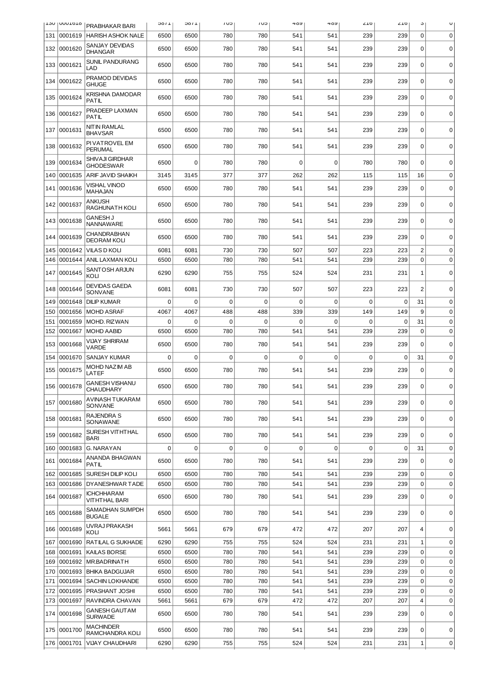|            | <b>T20 IOOOTOTO</b>    | <b>PRABHAKAR BARI</b>                                     | 110C         | 110C         | CU <sub>1</sub> | UU          | 409         | 402         | 710        | 710         | J                             | U                          |
|------------|------------------------|-----------------------------------------------------------|--------------|--------------|-----------------|-------------|-------------|-------------|------------|-------------|-------------------------------|----------------------------|
| 131        | 0001619                | <b>HARISH ASHOK NALE</b>                                  | 6500         | 6500         | 780             | 780         | 541         | 541         | 239        | 239         | $\mathbf 0$                   | $\mathbf 0$                |
| 132        | 0001620                | <b>SANJAY DEVIDAS</b><br><b>DHANGAR</b>                   | 6500         | 6500         | 780             | 780         | 541         | 541         | 239        | 239         | $\mathbf 0$                   | $\mathbf 0$                |
| 133        | 0001621                | <b>SUNIL PANDURANG</b><br>LAD                             | 6500         | 6500         | 780             | 780         | 541         | 541         | 239        | 239         | $\Omega$                      | $\Omega$                   |
| 134        | 0001622                | PRAMOD DEVIDAS<br><b>GHUGE</b>                            | 6500         | 6500         | 780             | 780         | 541         | 541         | 239        | 239         | $\mathbf 0$                   | $\mathbf 0$                |
| 135        | 0001624                | KRISHNA DAMODAR<br><b>PATIL</b>                           | 6500         | 6500         | 780             | 780         | 541         | 541         | 239        | 239         | $\Omega$                      | $\mathbf 0$                |
| 136        | 0001627                | PRADEEP LAXMAN<br>PATIL                                   | 6500         | 6500         | 780             | 780         | 541         | 541         | 239        | 239         | $\mathbf 0$                   | $\mathbf 0$                |
| 137        | 0001631                | NIT IN RAMLAL<br><b>BHAVSAR</b>                           | 6500         | 6500         | 780             | 780         | 541         | 541         | 239        | 239         | $\mathbf 0$                   | $\mathbf 0$                |
| 138        | 0001632                | PI VATROVEL EM<br><b>PERUMAL</b>                          | 6500         | 6500         | 780             | 780         | 541         | 541         | 239        | 239         | $\Omega$                      | $\mathbf 0$                |
| 139        | 0001634                | <b>SHIVAJI GIRDHAR</b><br><b>GHODESWAR</b>                | 6500         | 0            | 780             | 780         | 0           | $\Omega$    | 780        | 780         | $\Omega$                      | $\mathbf 0$                |
| 140        | 0001635                | <b>ARIF JAVID SHAIKH</b>                                  | 3145         | 3145         | 377             | 377         | 262         | 262         | 115        | 115         | 16                            | $\mathbf 0$                |
| 141        | 0001636                | <b>VISHAL VINOD</b><br>MAHAJAN                            | 6500         | 6500         | 780             | 780         | 541         | 541         | 239        | 239         | $\mathbf 0$                   | 0                          |
|            | 142 0001637            | <b>ANKUSH</b><br>RAGHUNATH KOLI                           | 6500         | 6500         | 780             | 780         | 541         | 541         | 239        | 239         | $\Omega$                      | $\mathbf 0$                |
| 143        | 0001638                | <b>GANESH J</b><br>NANNAWARE                              | 6500         | 6500         | 780             | 780         | 541         | 541         | 239        | 239         | $\mathbf 0$                   | $\mathbf 0$                |
| 144        | 0001639                | CHANDRABHAN<br><b>DEORAM KOLI</b>                         | 6500         | 6500         | 780             | 780         | 541         | 541         | 239        | 239         | $\mathbf 0$                   | $\mathbf 0$                |
| 145        | 0001642                | <b>VILAS D KOLI</b>                                       | 6081         | 6081         | 730             | 730         | 507         | 507         | 223        | 223         | $\overline{c}$                | $\mathbf 0$                |
| 146        | 0001644                | ANIL LAXMAN KOLI                                          | 6500         | 6500         | 780             | 780         | 541         | 541         | 239        | 239         | $\mathbf 0$                   | $\mathbf 0$                |
| 147        | 0001645                | SANTOSH ARJUN<br>KOLI                                     | 6290         | 6290         | 755             | 755         | 524         | 524         | 231        | 231         | 1                             | $\mathbf 0$                |
| 148        | 0001646                | <b>DEVIDAS GAEDA</b><br>SONVANE                           | 6081         | 6081         | 730             | 730         | 507         | 507         | 223        | 223         | $\overline{2}$                | $\mathbf 0$                |
| 149        | 0001648                | <b>DILIP KUMAR</b>                                        | 0            | $\mathbf 0$  | $\mathbf 0$     | 0           | 0           | $\mathbf 0$ | 0          | $\mathbf 0$ | 31                            | $\mathbf 0$                |
| 150        | 0001656                | MOHD ASRAF                                                | 4067         | 4067         | 488             | 488         | 339         | 339         | 149        | 149         | 9                             | $\mathbf 0$                |
| 151        | 0001659                | <b>MOHD. RIZWAN</b>                                       | 0            | $\mathbf 0$  | $\mathbf 0$     | 0           | 0           | $\mathbf 0$ | 0          | $\mathbf 0$ | 31                            | $\mathbf 0$                |
| 152<br>153 | 0001667<br>0001668     | <b>MOHD AABID</b><br><b>VIJAY SHRIRAM</b><br><b>VARDE</b> | 6500<br>6500 | 6500<br>6500 | 780<br>780      | 780<br>780  | 541<br>541  | 541<br>541  | 239<br>239 | 239<br>239  | $\mathbf 0$<br>$\Omega$       | $\mathbf 0$<br>$\mathbf 0$ |
| 154        | 0001670                | SANJAY KUMAR                                              | 0            | $\Omega$     | $\Omega$        | $\Omega$    | $\mathbf 0$ | $\Omega$    | $\Omega$   | $\Omega$    | 31                            | $\mathbf 0$                |
| 155        | 0001675                | MOHD NAZIM AB<br>LATEF                                    | 6500         | 6500         | 780             | 780         | 541         | 541         | 239        | 239         | $\Omega$                      | $\mathbf 0$                |
|            | 156 0001678            | <b>GANESH VISHANU</b><br><b>CHAUDHARY</b>                 | 6500         | 6500         | 780             | 780         | 541         | 541         | 239        | 239         | 0                             | 0                          |
| 157        | 0001680                | AVINASH TUKARAM<br>SONVANE                                | 6500         | 6500         | 780             | 780         | 541         | 541         | 239        | 239         | $\Omega$                      | $\mathbf 0$                |
|            | 158 0001681            | RAJENDRA S<br>SONAWANE                                    | 6500         | 6500         | 780             | 780         | 541         | 541         | 239        | 239         | $\mathbf 0$                   | 0                          |
|            | 159 0001682            | SURESH VITHTHAL<br><b>BARI</b>                            | 6500         | 6500         | 780             | 780         | 541         | 541         | 239        | 239         | $\mathbf 0$                   | $\mathbf 0$                |
| 160        | 0001683                | G. NARAYAN                                                | 0            | $\mathbf 0$  | $\mathbf 0$     | $\mathbf 0$ | $\mathbf 0$ | $\mathbf 0$ | 0          | $\mathbf 0$ | 31                            | $\mathbf 0$                |
| 161        | 0001684                | ANANDA BHAGWAN<br>PATIL                                   | 6500         | 6500         | 780             | 780         | 541         | 541         | 239        | 239         | $\Omega$                      | $\mathbf 0$                |
| 163        | 162 0001685<br>0001686 | SURESH DILIP KOLI<br>DYANESHWAR TADE                      | 6500<br>6500 | 6500<br>6500 | 780<br>780      | 780<br>780  | 541<br>541  | 541<br>541  | 239<br>239 | 239<br>239  | $\mathbf 0$<br>$\Omega$       | $\mathbf 0$<br>$\mathbf 0$ |
| 164        | 0001687                | <b>ICHCHHARAM</b><br>VITHTHAL BARI                        | 6500         | 6500         | 780             | 780         | 541         | 541         | 239        | 239         | $\mathbf 0$                   | $\mathbf 0$                |
|            | 165 0001688            | SAMADHAN SUMPDH<br><b>BUGALE</b>                          | 6500         | 6500         | 780             | 780         | 541         | 541         | 239        | 239         | $\mathbf 0$                   | $\mathbf 0$                |
| 166        | 0001689                | UVRAJ PRAKASH<br>KOLI                                     | 5661         | 5661         | 679             | 679         | 472         | 472         | 207        | 207         | $\overline{4}$                | $\mathbf 0$                |
| 167        | 0001690                | RATILAL G SUKHADE                                         | 6290         | 6290         | 755             | 755         | 524         | 524         | 231        | 231         | $\mathbf{1}$                  | $\mathbf 0$                |
| 168        | 0001691                | <b>KAILAS BORSE</b>                                       | 6500         | 6500         | 780             | 780         | 541         | 541         | 239        | 239         | $\mathbf 0$                   | $\mathbf 0$                |
| 169        | 0001692                | MR.BADRINATH                                              | 6500         | 6500         | 780             | 780         | 541         | 541         | 239        | 239         | $\mathbf 0$                   | $\mathbf 0$                |
| 170        |                        | 0001693 BHIKA BADGUJAR                                    | 6500         | 6500         | 780             | 780         | 541         | 541         | 239        | 239         | $\mathbf 0$                   | $\mathbf 0$                |
| 171        | 0001694                | SACHIN LOKHANDE                                           | 6500         | 6500         | 780             | 780         | 541         | 541         | 239        | 239         | $\Omega$                      | $\mathbf 0$                |
| 172        | 0001695                | PRASHANT JOSHI                                            | 6500         | 6500         | 780             | 780         | 541         | 541         | 239        | 239         | $\mathbf 0$                   | $\mathbf 0$                |
| 173<br>174 | 0001697<br>0001698     | RAVINDRA CHAVAN<br><b>GANESH GAUT AM</b>                  | 5661<br>6500 | 5661<br>6500 | 679<br>780      | 679<br>780  | 472<br>541  | 472<br>541  | 207<br>239 | 207<br>239  | $\overline{4}$<br>$\mathbf 0$ | $\mathbf 0$<br>$\mathbf 0$ |
|            | 175 0001700            | <b>SURWADE</b><br><b>MACHINDER</b>                        | 6500         | 6500         | 780             | 780         | 541         | 541         | 239        | 239         | 0                             | $\mathbf 0$                |
| 176        | 0001701                | RAMCHANDRA KOLI<br><b>VIJAY CHAUDHARI</b>                 | 6290         | 6290         | 755             | 755         | 524         | 524         | 231        | 231         | $\mathbf 1$                   | 0                          |
|            |                        |                                                           |              |              |                 |             |             |             |            |             |                               |                            |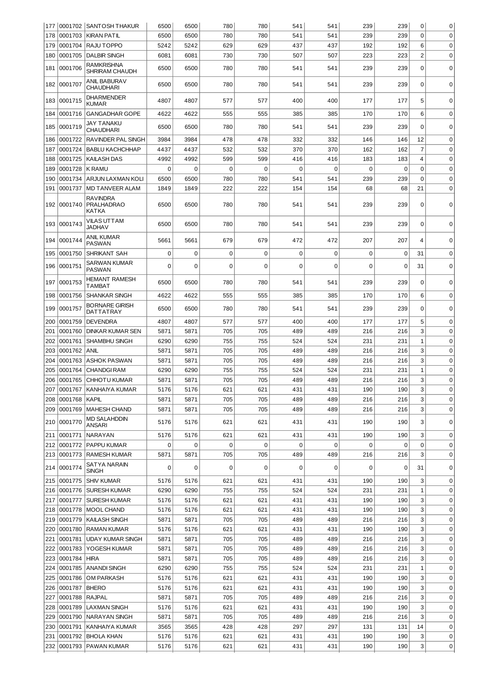|            |                    | 177   0001702   SANTOSH THAKUR                | 6500         | 6500         | 780         | 780         | 541         | 541         | 239         | 239        | 0              | 0                          |
|------------|--------------------|-----------------------------------------------|--------------|--------------|-------------|-------------|-------------|-------------|-------------|------------|----------------|----------------------------|
| 178        | 0001703            | KIRAN PATIL                                   | 6500         | 6500         | 780         | 780         | 541         | 541         | 239         | 239        | 0              | $\mathbf 0$                |
| 179        | 0001704            | RAJU TOPPO                                    | 5242         | 5242         | 629         | 629         | 437         | 437         | 192         | 192        | 6              | $\mathbf 0$                |
| 180        | 0001705            | <b>DALBIR SINGH</b>                           | 6081         | 6081         | 730         | 730         | 507         | 507         | 223         | 223        | $\overline{2}$ | $\mathbf 0$                |
| 181        | 0001706            | RAMKRISHNA<br>SHRIRAM CHAUDH                  | 6500         | 6500         | 780         | 780         | 541         | 541         | 239         | 239        | $\mathbf 0$    | $\mathbf 0$                |
|            | 182 0001707        | ANIL BABURAV<br>CHAUDHARI                     | 6500         | 6500         | 780         | 780         | 541         | 541         | 239         | 239        | $\mathbf 0$    | $\mathbf 0$                |
| 183        | 0001715            | <b>DHARMENDER</b><br><b>KUMAR</b>             | 4807         | 4807         | 577         | 577         | 400         | 400         | 177         | 177        | 5              | 0                          |
| 184        | 0001716            | <b>GANGADHAR GOPE</b>                         | 4622         | 4622         | 555         | 555         | 385         | 385         | 170         | 170        | 6              | $\mathbf 0$                |
| 185        | 0001719            | JAY TANAKU<br><b>CHAUDHARI</b>                | 6500         | 6500         | 780         | 780         | 541         | 541         | 239         | 239        | $\mathbf 0$    | $\mathbf 0$                |
| 186        | 0001722            | <b>RAVINDER PAL SINGH</b>                     | 3984         | 3984         | 478         | 478         | 332         | 332         | 146         | 146        | 12             | $\mathbf 0$                |
| 187        | 0001724            | <b>BABLU KACHCHHAP</b>                        | 4437         | 4437         | 532         | 532         | 370         | 370         | 162         | 162        | $\overline{7}$ | $\mathbf 0$                |
| 188        | 0001725            | <b>KAILASH DAS</b>                            | 4992         | 4992         | 599         | 599         | 416         | 416         | 183         | 183        | $\overline{4}$ | $\mathbf 0$                |
| 189        | 0001728            | <b>K RAMU</b>                                 | $\mathbf 0$  | $\mathbf 0$  | $\mathbf 0$ | 0           | 0           | $\mathbf 0$ | $\mathbf 0$ | 0          | $\mathbf 0$    | $\mathbf 0$                |
| 190        | 0001734            | <b>ARJUN LAXMAN KOLI</b>                      | 6500         | 6500         | 780         | 780         | 541         | 541         | 239         | 239        | $\mathbf 0$    | 0                          |
| 191        | 0001737            | <b>MD TANVEER ALAM</b>                        | 1849         | 1849         | 222         | 222         | 154         | 154         | 68          | 68         | 21             | 0                          |
| 192        | 0001740            | <b>RAVINDRA</b><br><b>PRALHADRAO</b><br>KATKA | 6500         | 6500         | 780         | 780         | 541         | 541         | 239         | 239        | $\mathbf 0$    | 0                          |
| 193        | 0001743            | VILAS UTTAM<br><b>JADHAV</b>                  | 6500         | 6500         | 780         | 780         | 541         | 541         | 239         | 239        | $\mathbf 0$    | $\mathbf 0$                |
| 194        | 0001744            | ANIL KUMAR<br>PASWAN                          | 5661         | 5661         | 679         | 679         | 472         | 472         | 207         | 207        | 4              | $\mathbf 0$                |
| 195        | 0001750            | <b>SHRIKANT SAH</b>                           | 0            | $\mathbf 0$  | $\mathbf 0$ | $\mathbf 0$ | $\mathbf 0$ | $\mathbf 0$ | 0           | 0          | 31             | $\mathbf 0$                |
| 196        | 0001751            | SARWAN KUMAR<br>PASWAN                        | 0            | 0            | $\mathbf 0$ | 0           | 0           | $\mathbf 0$ | 0           | 0          | 31             | $\mathbf 0$                |
| 197        | 0001753            | HEMANT RAMESH<br>TAMBAT                       | 6500         | 6500         | 780         | 780         | 541         | 541         | 239         | 239        | $\Omega$       | $\mathbf 0$                |
| 198        | 0001756            | <b>SHANKAR SINGH</b>                          | 4622         | 4622         | 555         | 555         | 385         | 385         | 170         | 170        | 6              | $\mathbf 0$                |
| 199        | 0001757            | BORNARE GIRISH<br>DATTATRAY                   | 6500         | 6500         | 780         | 780         | 541         | 541         | 239         | 239        | $\mathbf 0$    | $\Omega$                   |
| 200        | 0001759            | <b>DEVENDRA</b>                               | 4807         | 4807         | 577         | 577         | 400         | 400         | 177         | 177        | 5              | $\mathbf 0$                |
| 201        | 0001760            | <b>DINKAR KUMAR SEN</b>                       | 5871         | 5871         | 705         | 705         | 489         | 489         | 216         | 216        | 3              | $\mathbf 0$                |
| 202        | 0001761            | <b>SHAMBHU SINGH</b>                          | 6290         | 6290         | 755         | 755         | 524         | 524         | 231         | 231        | $\mathbf{1}$   | $\mathbf 0$                |
| 203        | 0001762            | <b>ANIL</b>                                   | 5871         | 5871         | 705         | 705         | 489         | 489         | 216         | 216        | 3              | $\mathbf 0$                |
| 204        | 0001763            | <b>ASHOK PASWAN</b>                           | 5871         | 5871         | 705         | 705         | 489         | 489         | 216         | 216        | 3              | $\mathbf 0$                |
| 205        | 0001764            | <b>CHANDGI RAM</b>                            | 6290         | 6290         | 755         | 755         | 524         | 524         | 231         | 231        | $\mathbf 1$    | $\mathbf 0$                |
| 206        |                    | 0001765 CHHOTU KUMAR                          | 5871         | 5871         | 705         | 705         | 489         | 489         | 216         | 216        | 3              | $\mathbf 0$                |
| 207        |                    | 0001767 KANHAIYA KUMAR                        | 5176         | 5176         | 621         | 621         | 431         | 431         | 190         | 190        | 3              | 0                          |
| 208        | 0001768            | <b>KAPIL</b>                                  | 5871         | 5871         | 705         | 705         | 489         | 489         | 216         | 216        | 3              | 0                          |
| 209        | 0001769            | MAHESH CHAND                                  | 5871         | 5871         | 705         | 705         | 489         | 489         | 216         | 216        | 3              | $\mathbf 0$                |
|            | 210 0001770        | MD SALAHDDIN<br>ANSARI                        | 5176         | 5176         | 621         | 621         | 431         | 431         | 190         | 190        | 3              | $\mathbf 0$                |
| 211        | 0001771            | <b>NARAYAN</b>                                | 5176         | 5176         | 621         | 621         | 431         | 431         | 190         | 190        | 3              | 0                          |
| 212        | 0001772            | <b>PAPPU KUMAR</b>                            | 0            | $\mathbf 0$  | $\mathbf 0$ | $\mathbf 0$ | $\mathbf 0$ | $\mathbf 0$ | 0           | 0          | $\pmb{0}$      | 0                          |
|            | 213 0001773        | <b>RAMESH KUMAR</b>                           | 5871         | 5871         | 705         | 705         | 489         | 489         | 216         | 216        | 3              | $\mathbf 0$                |
|            | 214 0001774        | SATYA NARAIN<br>SINGH                         | 0            | 0            | 0           | 0           | 0           | 0           | 0           | 0          | 31             | 0                          |
|            |                    | 215   0001775   SHIV KUMAR                    | 5176         | 5176         | 621         | 621         | 431         | 431         | 190         | 190        | 3              | 0                          |
|            |                    | 216 0001776 SURESH KUMAR                      | 6290         | 6290         | 755         | 755         | 524         | 524         | 231         | 231        | 1              | 0                          |
| 217        | 0001777            | SURESH KUMAR                                  | 5176         | 5176         | 621         | 621         | 431         | 431         | 190         | 190        | 3              | 0                          |
|            |                    | 218 0001778 MOOL CHAND                        | 5176         | 5176         | 621         | 621         | 431         | 431         | 190         | 190        | 3              | $\mathbf 0$                |
| 219        | 0001779            | KAILASH SINGH                                 | 5871         | 5871         | 705         | 705         | 489         | 489         | 216         | 216        | 3              | 0                          |
| 220        | 0001780            | RAMAN KUMAR                                   | 5176         | 5176         | 621         | 621         | 431         | 431         | 190         | 190        | 3              | 0                          |
| 221        | 0001781            | <b>UDAY KUMAR SINGH</b>                       | 5871         | 5871         | 705         | 705         | 489         | 489         | 216         | 216        | 3              | $\mathbf 0$                |
| 222        | 0001783            | YOGESH KUMAR                                  | 5871         | 5871         | 705         | 705         | 489         | 489         | 216         | 216        | 3<br>3         | $\mathbf 0$                |
| 223        | 0001784<br>0001785 | <b>HIRA</b>                                   | 5871<br>6290 | 5871<br>6290 | 705<br>755  | 705<br>755  | 489<br>524  | 489<br>524  | 216<br>231  | 216<br>231 | $\mathbf 1$    | $\mathbf 0$<br>$\mathbf 0$ |
| 224<br>225 | 0001786            | ANANDI SINGH<br><b>OM PARKASH</b>             | 5176         | 5176         | 621         | 621         | 431         | 431         | 190         | 190        | 3              | $\mathbf 0$                |
| 226        | 0001787            | <b>BHERO</b>                                  | 5176         | 5176         | 621         | 621         | 431         | 431         | 190         | 190        | 3              | $\mathbf 0$                |
| 227        | 0001788            | <b>RAJPAL</b>                                 | 5871         | 5871         | 705         | 705         | 489         | 489         | 216         | 216        | 3              | $\mathbf 0$                |
| 228        | 0001789            | <b>LAXMAN SINGH</b>                           | 5176         | 5176         | 621         | 621         | 431         | 431         | 190         | 190        | 3              | 0                          |
| 229        | 0001790            | <b>NARAYAN SINGH</b>                          | 5871         | 5871         | 705         | 705         | 489         | 489         | 216         | 216        | 3              | 0                          |
| 230        | 0001791            | KANHAIYA KUMAR                                | 3565         | 3565         | 428         | 428         | 297         | 297         | 131         | 131        | 14             | 0                          |
| 231        | 0001792            | BHOLA KHAN                                    | 5176         | 5176         | 621         | 621         | 431         | 431         | 190         | 190        | 3              | 0                          |
| 232        | 0001793            | <b>PAWAN KUMAR</b>                            | 5176         | 5176         | 621         | 621         | 431         | 431         | 190         | 190        | 3              | 0                          |
|            |                    |                                               |              |              |             |             |             |             |             |            |                |                            |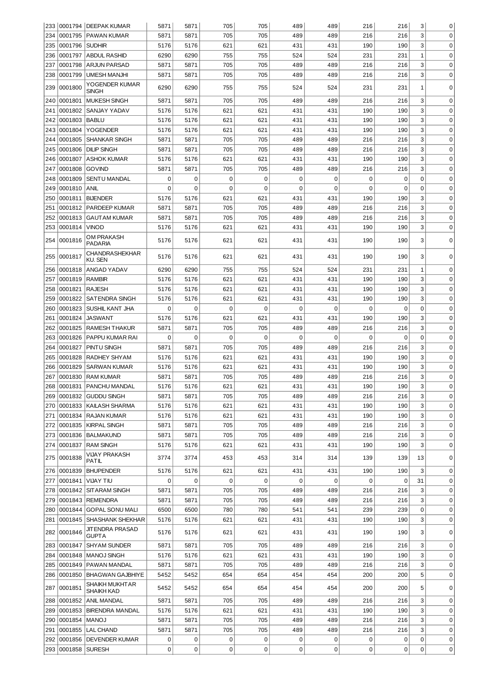|     |             | 233   0001794   DEEPAK KUMAR    | 5871        | 5871        | 705         | 705         | 489         | 489         | 216 | 216         | 3              | 0           |
|-----|-------------|---------------------------------|-------------|-------------|-------------|-------------|-------------|-------------|-----|-------------|----------------|-------------|
| 234 | 0001795     | <b>PAWAN KUMAR</b>              | 5871        | 5871        | 705         | 705         | 489         | 489         | 216 | 216         | 3              | $\mathbf 0$ |
| 235 | 0001796     | <b>SUDHIR</b>                   | 5176        | 5176        | 621         | 621         | 431         | 431         | 190 | 190         | 3              | $\mathbf 0$ |
| 236 | 0001797     | <b>ABDUL RASHID</b>             | 6290        | 6290        | 755         | 755         | 524         | 524         | 231 | 231         | $\mathbf{1}$   | $\mathbf 0$ |
| 237 | 0001798     | <b>ARJUN PARSAD</b>             | 5871        | 5871        | 705         | 705         | 489         | 489         | 216 | 216         | 3              | $\mathbf 0$ |
| 238 | 0001799     | <b>UMESH MANJHI</b>             | 5871        | 5871        | 705         | 705         | 489         | 489         | 216 | 216         | 3              | $\mathbf 0$ |
|     |             | YOGENDER KUMAR                  |             |             |             |             |             |             |     |             |                |             |
| 239 | 0001800     | SINGH                           | 6290        | 6290        | 755         | 755         | 524         | 524         | 231 | 231         | 1              | 0           |
| 240 | 0001801     | <b>MUKESH SINGH</b>             | 5871        | 5871        | 705         | 705         | 489         | 489         | 216 | 216         | 3              | 0           |
| 241 | 0001802     | SANJAY YADAV                    | 5176        | 5176        | 621         | 621         | 431         | 431         | 190 | 190         | 3              | 0           |
| 242 | 0001803     | <b>BABLU</b>                    | 5176        | 5176        | 621         | 621         | 431         | 431         | 190 | 190         | 3              | 0           |
| 243 | 0001804     | <b>YOGENDER</b>                 | 5176        | 5176        | 621         | 621         | 431         | 431         | 190 | 190         | 3              | $\mathbf 0$ |
| 244 | 0001805     | <b>SHANKAR SINGH</b>            | 5871        | 5871        | 705         | 705         | 489         | 489         | 216 | 216         | 3              | $\mathbf 0$ |
| 245 | 0001806     | <b>DILIP SINGH</b>              | 5871        | 5871        | 705         | 705         | 489         | 489         | 216 | 216         | 3              | $\mathbf 0$ |
| 246 | 0001807     | <b>ASHOK KUMAR</b>              | 5176        | 5176        | 621         | 621         | 431         | 431         | 190 | 190         | 3              | $\mathbf 0$ |
| 247 | 0001808     | <b>GOVIND</b>                   | 5871        | 5871        | 705         | 705         | 489         | 489         | 216 | 216         | 3              | $\mathbf 0$ |
| 248 | 0001809     | SENTU MANDAL                    | $\mathbf 0$ | $\mathbf 0$ | $\mathbf 0$ | $\mathbf 0$ | $\mathbf 0$ | $\mathbf 0$ | 0   | $\mathbf 0$ | 0              | $\mathbf 0$ |
| 249 | 0001810     | <b>ANIL</b>                     | $\Omega$    | $\mathbf 0$ | $\mathbf 0$ | $\mathbf 0$ | 0           | $\mathbf 0$ | 0   | 0           | $\mathbf 0$    | $\mathbf 0$ |
| 250 | 0001811     | <b>BIJENDER</b>                 | 5176        | 5176        | 621         | 621         | 431         | 431         | 190 | 190         | 3              | $\mathbf 0$ |
| 251 | 0001812     | <b>PARDEEP KUMAR</b>            | 5871        | 5871        | 705         | 705         | 489         | 489         | 216 | 216         | 3              | $\mathbf 0$ |
| 252 | 0001813     | <b>GAUTAM KUMAR</b>             | 5871        | 5871        | 705         | 705         | 489         | 489         | 216 | 216         | 3              | $\mathbf 0$ |
| 253 | 0001814     | VINOD                           | 5176        | 5176        | 621         | 621         | 431         | 431         | 190 | 190         | 3              | $\mathbf 0$ |
|     |             | OM PRAKASH                      |             |             |             |             |             |             |     |             |                |             |
| 254 | 0001816     | <b>PADARIA</b>                  | 5176        | 5176        | 621         | 621         | 431         | 431         | 190 | 190         | 3              | 0           |
|     |             | CHANDRASHEKHAR                  | 5176        | 5176        | 621         | 621         | 431         | 431         | 190 |             | 3              | 0           |
| 255 | 0001817     | KU. SEN                         |             |             |             |             |             |             |     | 190         |                |             |
| 256 | 0001818     | <b>ANGAD YADAV</b>              | 6290        | 6290        | 755         | 755         | 524         | 524         | 231 | 231         | 1              | 0           |
| 257 | 0001819     | <b>RAMBIR</b>                   | 5176        | 5176        | 621         | 621         | 431         | 431         | 190 | 190         | 3              | 0           |
| 258 | 0001821     | <b>RAJESH</b>                   | 5176        | 5176        | 621         | 621         | 431         | 431         | 190 | 190         | 3              | 0           |
| 259 | 0001822     | <b>SATENDRA SINGH</b>           | 5176        | 5176        | 621         | 621         | 431         | 431         | 190 | 190         | 3              | $\mathbf 0$ |
| 260 | 0001823     | <b>SUSHIL KANT JHA</b>          | $\Omega$    | $\Omega$    | $\mathbf 0$ | 0           | 0           | $\Omega$    | 0   | 0           | $\overline{0}$ | 0           |
| 261 | 0001824     | <b>JASWANT</b>                  | 5176        | 5176        | 621         | 621         | 431         | 431         | 190 | 190         | 3              | 0           |
| 262 | 0001825     | <b>RAMESH THAKUR</b>            | 5871        | 5871        | 705         | 705         | 489         | 489         | 216 | 216         | 3              | $\mathbf 0$ |
| 263 | 0001826     | PAPPU KUMAR RAI                 | $\Omega$    | $\mathbf 0$ | $\mathbf 0$ | $\Omega$    | 0           | $\mathbf 0$ | 0   | $\mathbf 0$ | 0              | $\mathbf 0$ |
| 264 | 0001827     | PINTU SINGH                     | 5871        | 5871        | 705         | 705         | 489         | 489         | 216 | 216         | 3              | $\mathbf 0$ |
| 265 | 0001828     | <b>RADHEY SHYAM</b>             | 5176        | 5176        | 621         | 621         | 431         | 431         | 190 | 190         | 3              | 0           |
| 266 | 0001829     | <b>SARWAN KUMAR</b>             | 5176        | 5176        | 621         | 621         | 431         | 431         | 190 | 190         | 3              | $\pmb{0}$   |
| 267 | 0001830     | <b>RAM KUMAR</b>                | 5871        | 5871        | 705         | 705         | 489         | 489         | 216 | 216         | 3              | 0           |
|     |             | 268 0001831 PANCHU MANDAL       | 5176        | 5176        | 621         | 621         | 431         | 431         | 190 | 190         | 3              | 0           |
| 269 | 0001832     | <b>GUDDU SINGH</b>              | 5871        | 5871        | 705         | 705         | 489         | 489         | 216 | 216         | 3              | $\mathbf 0$ |
| 270 | 0001833     | <b>KAILASH SHARMA</b>           | 5176        | 5176        | 621         | 621         | 431         | 431         | 190 | 190         | 3              | 0           |
| 271 | 0001834     | <b>RAJAN KUMAR</b>              | 5176        | 5176        | 621         | 621         | 431         | 431         | 190 | 190         | 3              | 0           |
| 272 | 0001835     | KIRPAL SINGH                    | 5871        | 5871        | 705         | 705         | 489         | 489         | 216 | 216         | 3              | 0           |
| 273 |             | 0001836 BALMAKUND               | 5871        | 5871        | 705         | 705         | 489         | 489         | 216 | 216         | 3              | 0           |
|     | 274 0001837 | <b>RAM SINGH</b>                | 5176        | 5176        | 621         | 621         | 431         | 431         | 190 | 190         | 3              | 0           |
|     |             | <b>VIJAY PRAKASH</b>            |             |             |             |             |             |             |     |             |                |             |
|     | 275 0001838 | PATIL                           | 3774        | 3774        | 453         | 453         | 314         | 314         | 139 | 139         | 13             | 0           |
|     | 276 0001839 | <b>BHUPENDER</b>                | 5176        | 5176        | 621         | 621         | 431         | 431         | 190 | 190         | 3              | $\mathbf 0$ |
| 277 | 0001841     | VIJAY TIU                       | 0           | $\mathbf 0$ | $\mathbf 0$ | $\mathbf 0$ | 0           | $\mathbf 0$ | 0   | 0           | 31             | $\mathbf 0$ |
| 278 | 0001842     | SITARAM SINGH                   | 5871        | 5871        | 705         | 705         | 489         | 489         | 216 | 216         | 3              | $\mathbf 0$ |
| 279 |             | 0001843 REMENDRA                | 5871        | 5871        | 705         | 705         | 489         | 489         | 216 | 216         | 3              | 0           |
| 280 | 0001844     | <b>GOPAL SONU MALI</b>          | 6500        | 6500        | 780         | 780         | 541         | 541         | 239 | 239         | $\pmb{0}$      | 0           |
| 281 |             | 0001845   SHASHANK SHEKHAR      | 5176        | 5176        | 621         | 621         | 431         | 431         | 190 | 190         | 3              | 0           |
|     | 282 0001846 | JITENDRA PRASAD<br><b>GUPTA</b> | 5176        | 5176        | 621         | 621         | 431         | 431         | 190 | 190         | 3              | 0           |
| 283 | 0001847     | <b>SHYAM SUNDER</b>             | 5871        | 5871        | 705         | 705         | 489         | 489         | 216 | 216         | 3              | 0           |
| 284 | 0001848     | MANOJ SINGH                     | 5176        | 5176        | 621         | 621         | 431         | 431         | 190 | 190         | 3              | $\mathbf 0$ |
| 285 | 0001849     | <b>PAWAN MANDAL</b>             | 5871        | 5871        | 705         | 705         | 489         | 489         | 216 | 216         | 3              | $\mathbf 0$ |
| 286 | 0001850     | <b>BHAGWAN GAJBHIYE</b>         | 5452        | 5452        | 654         | 654         | 454         | 454         | 200 | 200         | 5              | 0           |
| 287 | 0001851     | SHAIKH MUKHT AR                 | 5452        | 5452        | 654         | 654         | 454         | 454         | 200 | 200         | 5              | 0           |
|     | 288 0001852 | SHAIKH KAD<br>ANIL MANDAL       | 5871        | 5871        | 705         | 705         | 489         | 489         | 216 | 216         | 3              | $\mathbf 0$ |
| 289 |             | 0001853 BIRENDRA MANDAL         | 5176        | 5176        | 621         | 621         | 431         | 431         | 190 | 190         | 3              | $\mathbf 0$ |
| 290 | 0001854     | <b>MANOJ</b>                    | 5871        | 5871        | 705         | 705         | 489         | 489         | 216 | 216         | 3              | $\mathbf 0$ |
| 291 | 0001855     | <b>LAL CHAND</b>                | 5871        | 5871        | 705         | 705         | 489         | 489         | 216 | 216         | 3              | $\mathbf 0$ |
| 292 | 0001856     | <b>DEVENDER KUMAR</b>           | 0           | 0           | 0           | 0           | 0           | 0           | 0   | 0           | $\pmb{0}$      | $\mathbf 0$ |
|     |             |                                 |             |             |             |             |             |             |     |             |                |             |
|     | 293 0001858 | <b>SURESH</b>                   | 0           | 0           | 0           | 0           | 0           | $\mathbf 0$ | 0   | 0           | 0              | 0           |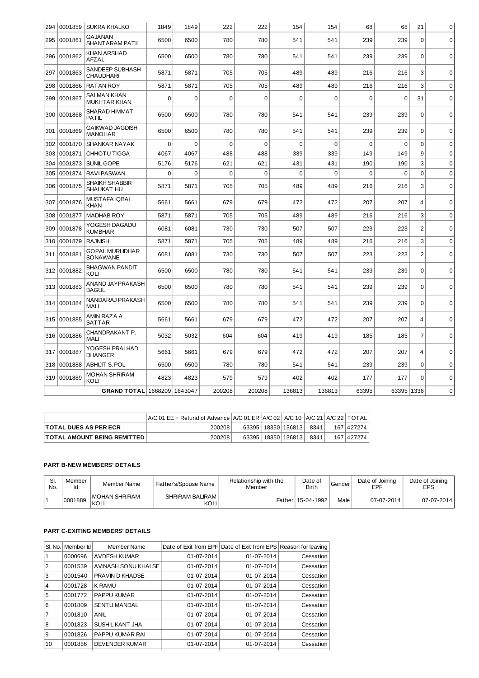| 294 |         | 0001859 SUKRA KHALKO                      | 1849     | 1849        | 222         | 222         | 154         | 154         | 68          | 68          | 21             | 0           |
|-----|---------|-------------------------------------------|----------|-------------|-------------|-------------|-------------|-------------|-------------|-------------|----------------|-------------|
| 295 | 0001861 | <b>GAJANAN</b><br><b>SHANT ARAM PATIL</b> | 6500     | 6500        | 780         | 780         | 541         | 541         | 239         | 239         | $\mathbf 0$    | $\mathbf 0$ |
| 296 | 0001862 | <b>KHAN ARSHAD</b><br>AFZAL               | 6500     | 6500        | 780         | 780         | 541         | 541         | 239         | 239         | $\Omega$       | $\mathbf 0$ |
| 297 | 0001863 | SANDEEP SUBHASH<br><b>CHAUDHARI</b>       | 5871     | 5871        | 705         | 705         | 489         | 489         | 216         | 216         | 3              | $\Omega$    |
| 298 | 0001866 | <b>RATAN ROY</b>                          | 5871     | 5871        | 705         | 705         | 489         | 489         | 216         | 216         | 3              | $\Omega$    |
| 299 | 0001867 | <b>SALMAN KHAN</b><br><b>MUKHTAR KHAN</b> | $\Omega$ | $\Omega$    | $\mathbf 0$ | 0           | $\mathbf 0$ | $\mathbf 0$ | $\mathbf 0$ | $\Omega$    | 31             | $\Omega$    |
| 300 | 0001868 | <b>SHARAD HIMMAT</b><br><b>PATIL</b>      | 6500     | 6500        | 780         | 780         | 541         | 541         | 239         | 239         | $\mathbf 0$    | $\mathbf 0$ |
| 301 | 0001869 | <b>GAIKWAD JAGDISH</b><br><b>MANOHAR</b>  | 6500     | 6500        | 780         | 780         | 541         | 541         | 239         | 239         | $\Omega$       | $\mathbf 0$ |
| 302 | 0001870 | SHANKAR NAYAK                             | 0        | $\mathbf 0$ | $\mathbf 0$ | $\mathbf 0$ | $\mathbf 0$ | $\mathbf 0$ | $\mathbf 0$ | $\mathbf 0$ | $\mathbf 0$    | $\mathbf 0$ |
| 303 | 0001871 | CHHOTU TIGGA                              | 4067     | 4067        | 488         | 488         | 339         | 339         | 149         | 149         | 9              | $\Omega$    |
| 304 | 0001873 | SUNIL GOPE                                | 5176     | 5176        | 621         | 621         | 431         | 431         | 190         | 190         | 3              | $\mathbf 0$ |
| 305 | 0001874 | <b>RAVIPASWAN</b>                         | 0        | $\mathbf 0$ | $\mathbf 0$ | $\Omega$    | $\Omega$    | $\mathbf 0$ | $\Omega$    | $\mathbf 0$ | $\Omega$       | $\Omega$    |
| 306 | 0001875 | <b>SHAIKH SHABBIR</b><br>SHAUKAT HU       | 5871     | 5871        | 705         | 705         | 489         | 489         | 216         | 216         | 3              | $\Omega$    |
| 307 | 0001876 | <b>MUSTAFA IQBAL</b><br><b>KHAN</b>       | 5661     | 5661        | 679         | 679         | 472         | 472         | 207         | 207         | 4              | $\mathbf 0$ |
| 308 | 0001877 | <b>MADHAB ROY</b>                         | 5871     | 5871        | 705         | 705         | 489         | 489         | 216         | 216         | 3              | $\mathbf 0$ |
| 309 | 0001878 | YOGESH DAGADU<br><b>KUMBHAR</b>           | 6081     | 6081        | 730         | 730         | 507         | 507         | 223         | 223         | $\overline{c}$ | $\mathbf 0$ |
| 310 | 0001879 | <b>RAJNISH</b>                            | 5871     | 5871        | 705         | 705         | 489         | 489         | 216         | 216         | 3              | $\mathbf 0$ |
| 311 | 0001881 | <b>GOPAL MURLIDHAR</b><br>SONAWANE        | 6081     | 6081        | 730         | 730         | 507         | 507         | 223         | 223         | $\overline{2}$ | $\Omega$    |
| 312 | 0001882 | <b>BHAGWAN PANDIT</b><br>KOLI             | 6500     | 6500        | 780         | 780         | 541         | 541         | 239         | 239         | $\mathbf 0$    | $\mathbf 0$ |
| 313 | 0001883 | ANAND JAYPRAKASH<br><b>BAGUL</b>          | 6500     | 6500        | 780         | 780         | 541         | 541         | 239         | 239         | 0              | $\mathbf 0$ |
| 314 | 0001884 | NANDARAJ PRAKASH<br>MALI                  | 6500     | 6500        | 780         | 780         | 541         | 541         | 239         | 239         | $\mathbf 0$    | $\mathbf 0$ |
| 315 | 0001885 | AMIN RAZA A<br><b>SATTAR</b>              | 5661     | 5661        | 679         | 679         | 472         | 472         | 207         | 207         | $\overline{4}$ | $\mathbf 0$ |
| 316 | 0001886 | CHANDRAKANT P.<br><b>MALI</b>             | 5032     | 5032        | 604         | 604         | 419         | 419         | 185         | 185         | $\overline{7}$ | $\Omega$    |
| 317 | 0001887 | YOGESH PRALHAD<br><b>DHANGER</b>          | 5661     | 5661        | 679         | 679         | 472         | 472         | 207         | 207         | 4              | $\mathbf 0$ |
| 318 | 0001888 | <b>ABHIJIT S. POL</b>                     | 6500     | 6500        | 780         | 780         | 541         | 541         | 239         | 239         | 0              | $\mathbf 0$ |
| 319 | 0001889 | <b>MOHAN SHRIRAM</b><br>KOLI              | 4823     | 4823        | 579         | 579         | 402         | 402         | 177         | 177         | 0              | $\mathbf 0$ |
|     |         | GRAND TOTAL 1668209 1643047               |          |             | 200208      | 200208      | 136813      | 136813      | 63395       | 63395 1336  |                | $\Omega$    |

|                                     | $A/C 01$ EE + Refund of Advance $A/C 01$ ER $A/C 02$ A/C 10 $A/C 21$ A/C 22 TOTAL |  |                        |      |              |
|-------------------------------------|-----------------------------------------------------------------------------------|--|------------------------|------|--------------|
| <b>ITOTAL DUES AS PER ECR</b>       | 200208                                                                            |  | 63395   18350   136813 | 8341 | 167 427274   |
| <b>ITOTAL AMOUNT BEING REMITTED</b> | 200208                                                                            |  | 63395   18350   136813 | 8341 | 167   427274 |

# **PART B-NEW MEMBERS' DETAILS**

| SI.<br>No. | Member<br>ıн | Member Name            | Father's/Spouse Name    | Relationship with the<br>Member | Date of<br>Birth  | Gender | Date of Joining<br>EPF | Date of Joining<br><b>EPS</b> |
|------------|--------------|------------------------|-------------------------|---------------------------------|-------------------|--------|------------------------|-------------------------------|
|            | 0001889      | IMOHAN SHRIRAM<br>KOLI | SHRIRAM BALIRAM<br>KOLI |                                 | Father 15-04-1992 | Male   | 07-07-2014             | 07-07-2014                    |

# **PART C-EXITING MEMBERS' DETAILS**

| SI. No. | Member Id | Member Name           |            | Date of Exit from EPF Date of Exit from EPS Reason for leaving |           |
|---------|-----------|-----------------------|------------|----------------------------------------------------------------|-----------|
|         | 0000696   | <b>AVDESH KUMAR</b>   | 01-07-2014 | 01-07-2014                                                     | Cessation |
| 2       | 0001539   | AVINASH SONU KHALSE   | 01-07-2014 | 01-07-2014                                                     | Cessation |
| 3       | 0001540   | PRAVIN D KHADSE       | 01-07-2014 | 01-07-2014                                                     | Cessation |
| 4       | 0001728   | <b>K RAMU</b>         | 01-07-2014 | 01-07-2014                                                     | Cessation |
| 5       | 0001772   | <b>PAPPU KUMAR</b>    | 01-07-2014 | 01-07-2014                                                     | Cessation |
| 6       | 0001809   | <b>SENTU MANDAL</b>   | 01-07-2014 | 01-07-2014                                                     | Cessation |
|         | 0001810   | ANIL                  | 01-07-2014 | 01-07-2014                                                     | Cessation |
| 8       | 0001823   | SUSHIL KANT JHA       | 01-07-2014 | 01-07-2014                                                     | Cessation |
| 9       | 0001826   | PAPPU KUMAR RAI       | 01-07-2014 | 01-07-2014                                                     | Cessation |
| 10      | 0001856   | <b>DEVENDER KUMAR</b> | 01-07-2014 | 01-07-2014                                                     | Cessation |